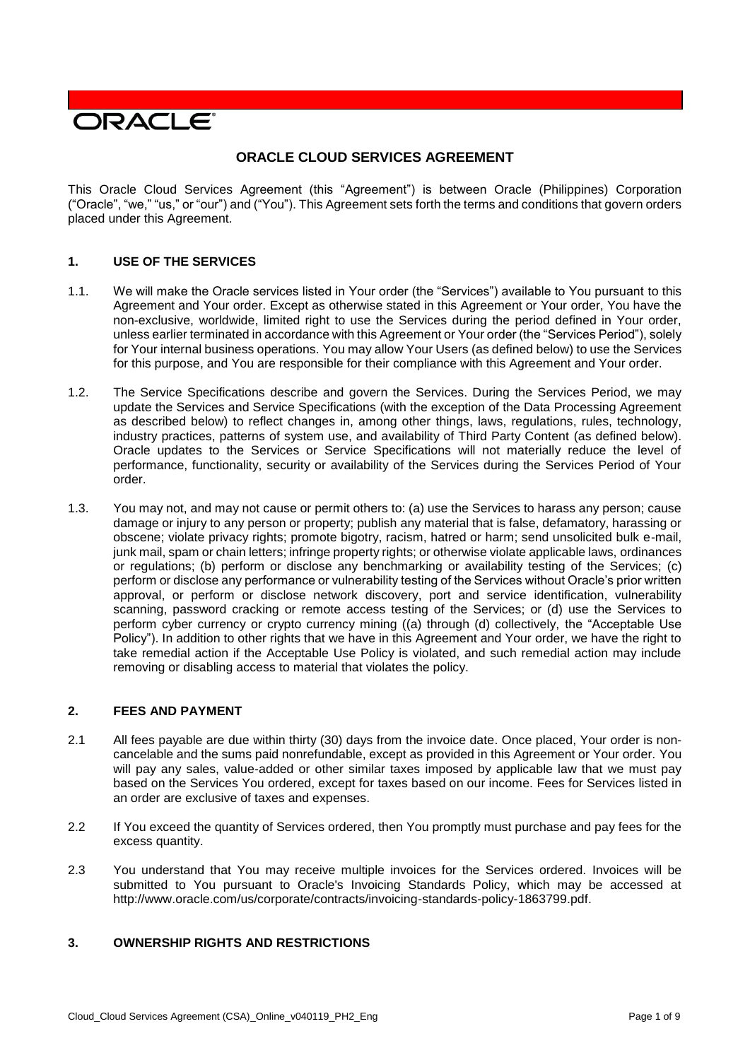

# **ORACLE CLOUD SERVICES AGREEMENT**

This Oracle Cloud Services Agreement (this "Agreement") is between Oracle (Philippines) Corporation ("Oracle", "we," "us," or "our") and ("You"). This Agreement sets forth the terms and conditions that govern orders placed under this Agreement.

### **1. USE OF THE SERVICES**

- 1.1. We will make the Oracle services listed in Your order (the "Services") available to You pursuant to this Agreement and Your order. Except as otherwise stated in this Agreement or Your order, You have the non-exclusive, worldwide, limited right to use the Services during the period defined in Your order, unless earlier terminated in accordance with this Agreement or Your order (the "Services Period"), solely for Your internal business operations. You may allow Your Users (as defined below) to use the Services for this purpose, and You are responsible for their compliance with this Agreement and Your order.
- 1.2. The Service Specifications describe and govern the Services. During the Services Period, we may update the Services and Service Specifications (with the exception of the Data Processing Agreement as described below) to reflect changes in, among other things, laws, regulations, rules, technology, industry practices, patterns of system use, and availability of Third Party Content (as defined below). Oracle updates to the Services or Service Specifications will not materially reduce the level of performance, functionality, security or availability of the Services during the Services Period of Your order.
- 1.3. You may not, and may not cause or permit others to: (a) use the Services to harass any person; cause damage or injury to any person or property; publish any material that is false, defamatory, harassing or obscene; violate privacy rights; promote bigotry, racism, hatred or harm; send unsolicited bulk e-mail, junk mail, spam or chain letters; infringe property rights; or otherwise violate applicable laws, ordinances or regulations; (b) perform or disclose any benchmarking or availability testing of the Services; (c) perform or disclose any performance or vulnerability testing of the Services without Oracle's prior written approval, or perform or disclose network discovery, port and service identification, vulnerability scanning, password cracking or remote access testing of the Services; or (d) use the Services to perform cyber currency or crypto currency mining ((a) through (d) collectively, the "Acceptable Use Policy"). In addition to other rights that we have in this Agreement and Your order, we have the right to take remedial action if the Acceptable Use Policy is violated, and such remedial action may include removing or disabling access to material that violates the policy.

#### **2. FEES AND PAYMENT**

- 2.1 All fees payable are due within thirty (30) days from the invoice date. Once placed, Your order is noncancelable and the sums paid nonrefundable, except as provided in this Agreement or Your order. You will pay any sales, value-added or other similar taxes imposed by applicable law that we must pay based on the Services You ordered, except for taxes based on our income. Fees for Services listed in an order are exclusive of taxes and expenses.
- 2.2 If You exceed the quantity of Services ordered, then You promptly must purchase and pay fees for the excess quantity.
- 2.3 You understand that You may receive multiple invoices for the Services ordered. Invoices will be submitted to You pursuant to Oracle's Invoicing Standards Policy, which may be accessed at [http://www.oracle.com/us/corporate/contracts/invoicing-standards-policy-1863799.pdf.](http://www.oracle.com/us/corporate/contracts/invoicing-standards-policy-1863799.pdf)

## **3. OWNERSHIP RIGHTS AND RESTRICTIONS**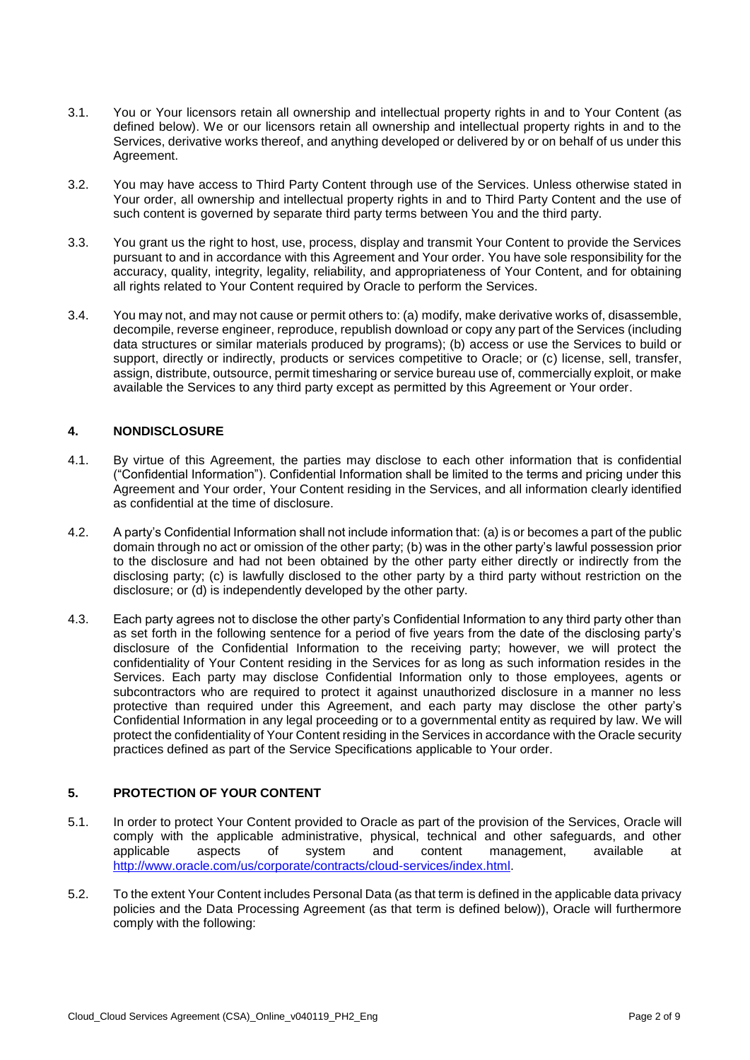- 3.1. You or Your licensors retain all ownership and intellectual property rights in and to Your Content (as defined below). We or our licensors retain all ownership and intellectual property rights in and to the Services, derivative works thereof, and anything developed or delivered by or on behalf of us under this Agreement.
- 3.2. You may have access to Third Party Content through use of the Services. Unless otherwise stated in Your order, all ownership and intellectual property rights in and to Third Party Content and the use of such content is governed by separate third party terms between You and the third party.
- 3.3. You grant us the right to host, use, process, display and transmit Your Content to provide the Services pursuant to and in accordance with this Agreement and Your order. You have sole responsibility for the accuracy, quality, integrity, legality, reliability, and appropriateness of Your Content, and for obtaining all rights related to Your Content required by Oracle to perform the Services.
- 3.4. You may not, and may not cause or permit others to: (a) modify, make derivative works of, disassemble, decompile, reverse engineer, reproduce, republish download or copy any part of the Services (including data structures or similar materials produced by programs); (b) access or use the Services to build or support, directly or indirectly, products or services competitive to Oracle; or (c) license, sell, transfer, assign, distribute, outsource, permit timesharing or service bureau use of, commercially exploit, or make available the Services to any third party except as permitted by this Agreement or Your order.

## **4. NONDISCLOSURE**

- 4.1. By virtue of this Agreement, the parties may disclose to each other information that is confidential ("Confidential Information"). Confidential Information shall be limited to the terms and pricing under this Agreement and Your order, Your Content residing in the Services, and all information clearly identified as confidential at the time of disclosure.
- 4.2. A party's Confidential Information shall not include information that: (a) is or becomes a part of the public domain through no act or omission of the other party; (b) was in the other party's lawful possession prior to the disclosure and had not been obtained by the other party either directly or indirectly from the disclosing party; (c) is lawfully disclosed to the other party by a third party without restriction on the disclosure; or (d) is independently developed by the other party.
- 4.3. Each party agrees not to disclose the other party's Confidential Information to any third party other than as set forth in the following sentence for a period of five years from the date of the disclosing party's disclosure of the Confidential Information to the receiving party; however, we will protect the confidentiality of Your Content residing in the Services for as long as such information resides in the Services. Each party may disclose Confidential Information only to those employees, agents or subcontractors who are required to protect it against unauthorized disclosure in a manner no less protective than required under this Agreement, and each party may disclose the other party's Confidential Information in any legal proceeding or to a governmental entity as required by law. We will protect the confidentiality of Your Content residing in the Services in accordance with the Oracle security practices defined as part of the Service Specifications applicable to Your order.

# **5. PROTECTION OF YOUR CONTENT**

- 5.1. In order to protect Your Content provided to Oracle as part of the provision of the Services, Oracle will comply with the applicable administrative, physical, technical and other safeguards, and other applicable aspects of system and content management. available at applicable aspects of system and content management, available at [http://www.oracle.com/us/corporate/contracts/cloud-services/index.html.](http://www.oracle.com/us/corporate/contracts/cloud-services/index.html)
- 5.2. To the extent Your Content includes Personal Data (as that term is defined in the applicable data privacy policies and the Data Processing Agreement (as that term is defined below)), Oracle will furthermore comply with the following: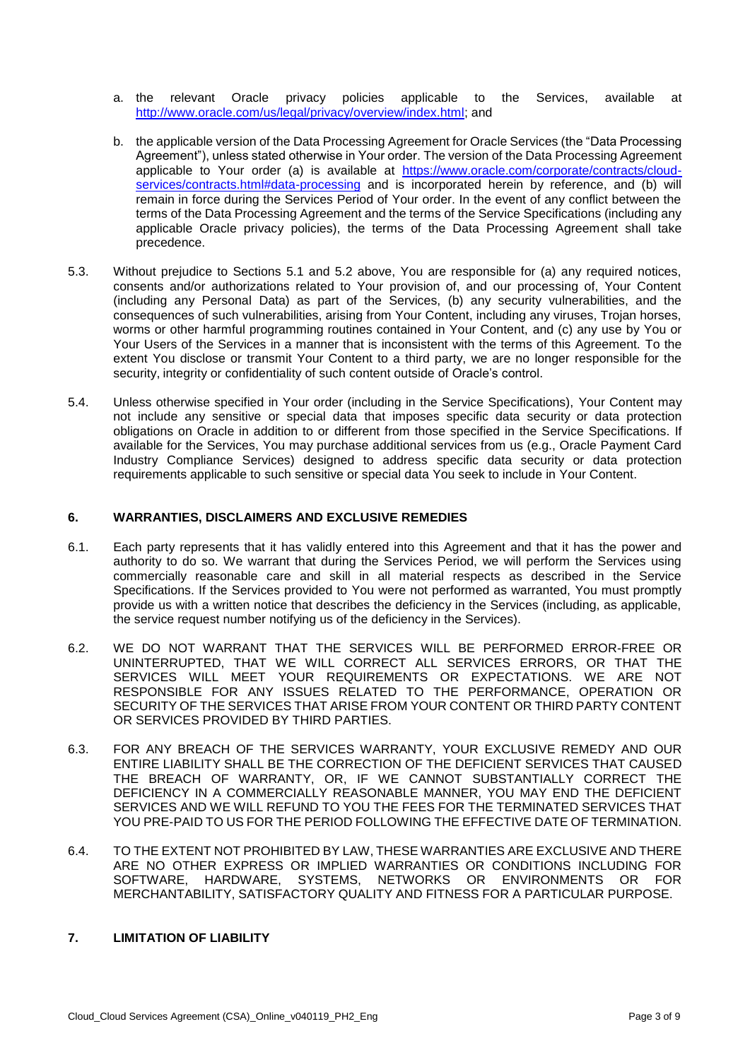- a. the relevant Oracle privacy policies applicable to the Services, available at [http://www.oracle.com/us/legal/privacy/overview/index.html;](http://www.oracle.com/us/legal/privacy/overview/index.html) and
- b. the applicable version of the Data Processing Agreement for Oracle Services (the "Data Processing Agreement"), unless stated otherwise in Your order. The version of the Data Processing Agreement applicable to Your order (a) is available at [https://www.oracle.com/corporate/contracts/cloud](https://www.oracle.com/corporate/contracts/cloud-services/contracts.html#data-processing)[services/contracts.html#data-processing](https://www.oracle.com/corporate/contracts/cloud-services/contracts.html#data-processing) and is incorporated herein by reference, and (b) will remain in force during the Services Period of Your order. In the event of any conflict between the terms of the Data Processing Agreement and the terms of the Service Specifications (including any applicable Oracle privacy policies), the terms of the Data Processing Agreement shall take precedence.
- 5.3. Without prejudice to Sections 5.1 and 5.2 above, You are responsible for (a) any required notices, consents and/or authorizations related to Your provision of, and our processing of, Your Content (including any Personal Data) as part of the Services, (b) any security vulnerabilities, and the consequences of such vulnerabilities, arising from Your Content, including any viruses, Trojan horses, worms or other harmful programming routines contained in Your Content, and (c) any use by You or Your Users of the Services in a manner that is inconsistent with the terms of this Agreement. To the extent You disclose or transmit Your Content to a third party, we are no longer responsible for the security, integrity or confidentiality of such content outside of Oracle's control.
- 5.4. Unless otherwise specified in Your order (including in the Service Specifications), Your Content may not include any sensitive or special data that imposes specific data security or data protection obligations on Oracle in addition to or different from those specified in the Service Specifications. If available for the Services, You may purchase additional services from us (e.g., Oracle Payment Card Industry Compliance Services) designed to address specific data security or data protection requirements applicable to such sensitive or special data You seek to include in Your Content.

#### **6. WARRANTIES, DISCLAIMERS AND EXCLUSIVE REMEDIES**

- 6.1. Each party represents that it has validly entered into this Agreement and that it has the power and authority to do so. We warrant that during the Services Period, we will perform the Services using commercially reasonable care and skill in all material respects as described in the Service Specifications. If the Services provided to You were not performed as warranted, You must promptly provide us with a written notice that describes the deficiency in the Services (including, as applicable, the service request number notifying us of the deficiency in the Services).
- 6.2. WE DO NOT WARRANT THAT THE SERVICES WILL BE PERFORMED ERROR-FREE OR UNINTERRUPTED, THAT WE WILL CORRECT ALL SERVICES ERRORS, OR THAT THE SERVICES WILL MEET YOUR REQUIREMENTS OR EXPECTATIONS. WE ARE NOT RESPONSIBLE FOR ANY ISSUES RELATED TO THE PERFORMANCE, OPERATION OR SECURITY OF THE SERVICES THAT ARISE FROM YOUR CONTENT OR THIRD PARTY CONTENT OR SERVICES PROVIDED BY THIRD PARTIES.
- 6.3. FOR ANY BREACH OF THE SERVICES WARRANTY, YOUR EXCLUSIVE REMEDY AND OUR ENTIRE LIABILITY SHALL BE THE CORRECTION OF THE DEFICIENT SERVICES THAT CAUSED THE BREACH OF WARRANTY, OR, IF WE CANNOT SUBSTANTIALLY CORRECT THE DEFICIENCY IN A COMMERCIALLY REASONABLE MANNER, YOU MAY END THE DEFICIENT SERVICES AND WE WILL REFUND TO YOU THE FEES FOR THE TERMINATED SERVICES THAT YOU PRE-PAID TO US FOR THE PERIOD FOLLOWING THE EFFECTIVE DATE OF TERMINATION.
- 6.4. TO THE EXTENT NOT PROHIBITED BY LAW, THESE WARRANTIES ARE EXCLUSIVE AND THERE ARE NO OTHER EXPRESS OR IMPLIED WARRANTIES OR CONDITIONS INCLUDING FOR SOFTWARE, HARDWARE, SYSTEMS, NETWORKS OR ENVIRONMENTS OR FOR MERCHANTABILITY, SATISFACTORY QUALITY AND FITNESS FOR A PARTICULAR PURPOSE.

## **7. LIMITATION OF LIABILITY**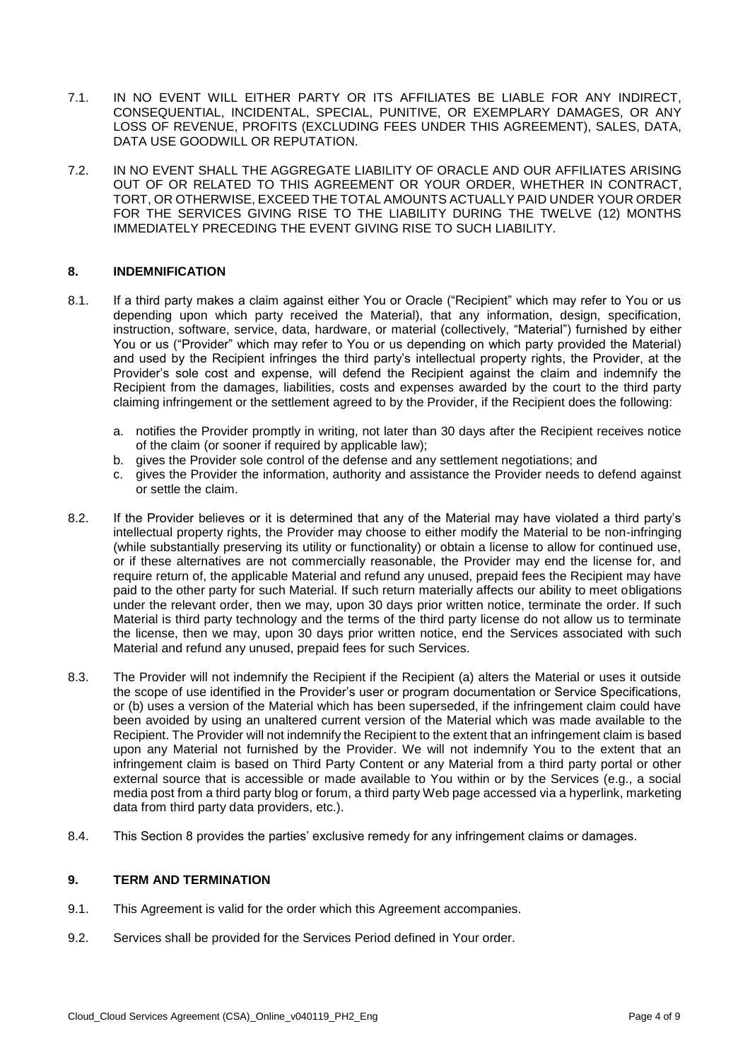- 7.1. IN NO EVENT WILL EITHER PARTY OR ITS AFFILIATES BE LIABLE FOR ANY INDIRECT, CONSEQUENTIAL, INCIDENTAL, SPECIAL, PUNITIVE, OR EXEMPLARY DAMAGES, OR ANY LOSS OF REVENUE, PROFITS (EXCLUDING FEES UNDER THIS AGREEMENT), SALES, DATA, DATA USE GOODWILL OR REPUTATION.
- 7.2. IN NO EVENT SHALL THE AGGREGATE LIABILITY OF ORACLE AND OUR AFFILIATES ARISING OUT OF OR RELATED TO THIS AGREEMENT OR YOUR ORDER, WHETHER IN CONTRACT, TORT, OR OTHERWISE, EXCEED THE TOTAL AMOUNTS ACTUALLY PAID UNDER YOUR ORDER FOR THE SERVICES GIVING RISE TO THE LIABILITY DURING THE TWELVE (12) MONTHS IMMEDIATELY PRECEDING THE EVENT GIVING RISE TO SUCH LIABILITY.

### **8. INDEMNIFICATION**

- 8.1. If a third party makes a claim against either You or Oracle ("Recipient" which may refer to You or us depending upon which party received the Material), that any information, design, specification, instruction, software, service, data, hardware, or material (collectively, "Material") furnished by either You or us ("Provider" which may refer to You or us depending on which party provided the Material) and used by the Recipient infringes the third party's intellectual property rights, the Provider, at the Provider's sole cost and expense, will defend the Recipient against the claim and indemnify the Recipient from the damages, liabilities, costs and expenses awarded by the court to the third party claiming infringement or the settlement agreed to by the Provider, if the Recipient does the following:
	- a. notifies the Provider promptly in writing, not later than 30 days after the Recipient receives notice of the claim (or sooner if required by applicable law);
	- b. gives the Provider sole control of the defense and any settlement negotiations; and
	- c. gives the Provider the information, authority and assistance the Provider needs to defend against or settle the claim.
- 8.2. If the Provider believes or it is determined that any of the Material may have violated a third party's intellectual property rights, the Provider may choose to either modify the Material to be non-infringing (while substantially preserving its utility or functionality) or obtain a license to allow for continued use, or if these alternatives are not commercially reasonable, the Provider may end the license for, and require return of, the applicable Material and refund any unused, prepaid fees the Recipient may have paid to the other party for such Material. If such return materially affects our ability to meet obligations under the relevant order, then we may, upon 30 days prior written notice, terminate the order. If such Material is third party technology and the terms of the third party license do not allow us to terminate the license, then we may, upon 30 days prior written notice, end the Services associated with such Material and refund any unused, prepaid fees for such Services.
- 8.3. The Provider will not indemnify the Recipient if the Recipient (a) alters the Material or uses it outside the scope of use identified in the Provider's user or program documentation or Service Specifications, or (b) uses a version of the Material which has been superseded, if the infringement claim could have been avoided by using an unaltered current version of the Material which was made available to the Recipient. The Provider will not indemnify the Recipient to the extent that an infringement claim is based upon any Material not furnished by the Provider. We will not indemnify You to the extent that an infringement claim is based on Third Party Content or any Material from a third party portal or other external source that is accessible or made available to You within or by the Services (e.g., a social media post from a third party blog or forum, a third party Web page accessed via a hyperlink, marketing data from third party data providers, etc.).
- 8.4. This Section 8 provides the parties' exclusive remedy for any infringement claims or damages.

#### **9. TERM AND TERMINATION**

- 9.1. This Agreement is valid for the order which this Agreement accompanies.
- 9.2. Services shall be provided for the Services Period defined in Your order.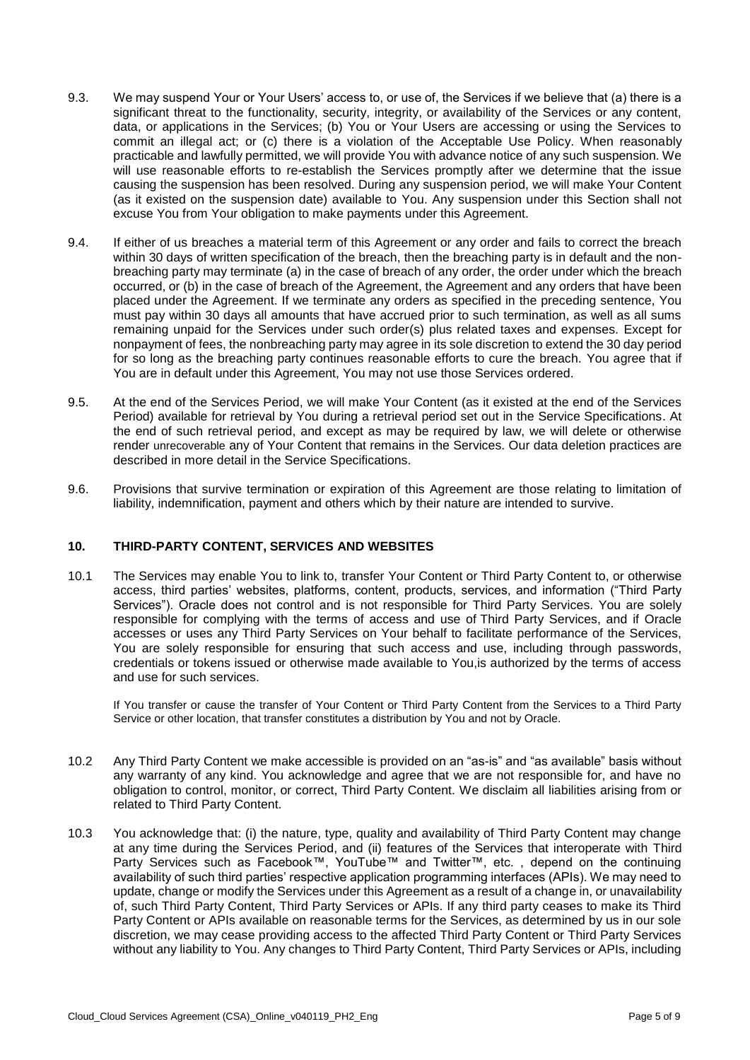- 9.3. We may suspend Your or Your Users' access to, or use of, the Services if we believe that (a) there is a significant threat to the functionality, security, integrity, or availability of the Services or any content, data, or applications in the Services; (b) You or Your Users are accessing or using the Services to commit an illegal act; or (c) there is a violation of the Acceptable Use Policy. When reasonably practicable and lawfully permitted, we will provide You with advance notice of any such suspension. We will use reasonable efforts to re-establish the Services promptly after we determine that the issue causing the suspension has been resolved. During any suspension period, we will make Your Content (as it existed on the suspension date) available to You. Any suspension under this Section shall not excuse You from Your obligation to make payments under this Agreement.
- 9.4. If either of us breaches a material term of this Agreement or any order and fails to correct the breach within 30 days of written specification of the breach, then the breaching party is in default and the nonbreaching party may terminate (a) in the case of breach of any order, the order under which the breach occurred, or (b) in the case of breach of the Agreement, the Agreement and any orders that have been placed under the Agreement. If we terminate any orders as specified in the preceding sentence, You must pay within 30 days all amounts that have accrued prior to such termination, as well as all sums remaining unpaid for the Services under such order(s) plus related taxes and expenses. Except for nonpayment of fees, the nonbreaching party may agree in its sole discretion to extend the 30 day period for so long as the breaching party continues reasonable efforts to cure the breach. You agree that if You are in default under this Agreement, You may not use those Services ordered.
- 9.5. At the end of the Services Period, we will make Your Content (as it existed at the end of the Services Period) available for retrieval by You during a retrieval period set out in the Service Specifications. At the end of such retrieval period, and except as may be required by law, we will delete or otherwise render unrecoverable any of Your Content that remains in the Services. Our data deletion practices are described in more detail in the Service Specifications.
- 9.6. Provisions that survive termination or expiration of this Agreement are those relating to limitation of liability, indemnification, payment and others which by their nature are intended to survive.

#### **10. THIRD-PARTY CONTENT, SERVICES AND WEBSITES**

10.1 The Services may enable You to link to, transfer Your Content or Third Party Content to, or otherwise access, third parties' websites, platforms, content, products, services, and information ("Third Party Services"). Oracle does not control and is not responsible for Third Party Services. You are solely responsible for complying with the terms of access and use of Third Party Services, and if Oracle accesses or uses any Third Party Services on Your behalf to facilitate performance of the Services, You are solely responsible for ensuring that such access and use, including through passwords, credentials or tokens issued or otherwise made available to You,is authorized by the terms of access and use for such services.

If You transfer or cause the transfer of Your Content or Third Party Content from the Services to a Third Party Service or other location, that transfer constitutes a distribution by You and not by Oracle.

- 10.2 Any Third Party Content we make accessible is provided on an "as-is" and "as available" basis without any warranty of any kind. You acknowledge and agree that we are not responsible for, and have no obligation to control, monitor, or correct, Third Party Content. We disclaim all liabilities arising from or related to Third Party Content.
- 10.3 You acknowledge that: (i) the nature, type, quality and availability of Third Party Content may change at any time during the Services Period, and (ii) features of the Services that interoperate with Third Party Services such as Facebook™, YouTube™ and Twitter™, etc. , depend on the continuing availability of such third parties' respective application programming interfaces (APIs). We may need to update, change or modify the Services under this Agreement as a result of a change in, or unavailability of, such Third Party Content, Third Party Services or APIs. If any third party ceases to make its Third Party Content or APIs available on reasonable terms for the Services, as determined by us in our sole discretion, we may cease providing access to the affected Third Party Content or Third Party Services without any liability to You. Any changes to Third Party Content, Third Party Services or APIs, including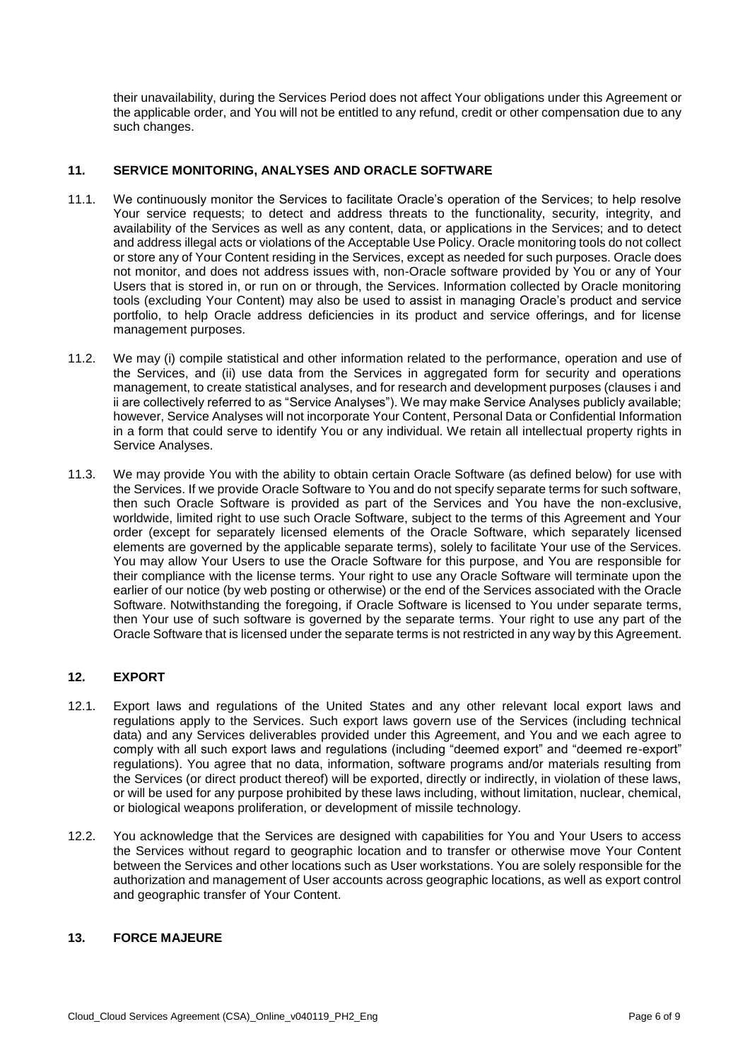their unavailability, during the Services Period does not affect Your obligations under this Agreement or the applicable order, and You will not be entitled to any refund, credit or other compensation due to any such changes.

## **11. SERVICE MONITORING, ANALYSES AND ORACLE SOFTWARE**

- 11.1. We continuously monitor the Services to facilitate Oracle's operation of the Services; to help resolve Your service requests; to detect and address threats to the functionality, security, integrity, and availability of the Services as well as any content, data, or applications in the Services; and to detect and address illegal acts or violations of the Acceptable Use Policy. Oracle monitoring tools do not collect or store any of Your Content residing in the Services, except as needed for such purposes. Oracle does not monitor, and does not address issues with, non-Oracle software provided by You or any of Your Users that is stored in, or run on or through, the Services. Information collected by Oracle monitoring tools (excluding Your Content) may also be used to assist in managing Oracle's product and service portfolio, to help Oracle address deficiencies in its product and service offerings, and for license management purposes.
- 11.2. We may (i) compile statistical and other information related to the performance, operation and use of the Services, and (ii) use data from the Services in aggregated form for security and operations management, to create statistical analyses, and for research and development purposes (clauses i and ii are collectively referred to as "Service Analyses"). We may make Service Analyses publicly available; however, Service Analyses will not incorporate Your Content, Personal Data or Confidential Information in a form that could serve to identify You or any individual. We retain all intellectual property rights in Service Analyses.
- 11.3. We may provide You with the ability to obtain certain Oracle Software (as defined below) for use with the Services. If we provide Oracle Software to You and do not specify separate terms for such software, then such Oracle Software is provided as part of the Services and You have the non-exclusive, worldwide, limited right to use such Oracle Software, subject to the terms of this Agreement and Your order (except for separately licensed elements of the Oracle Software, which separately licensed elements are governed by the applicable separate terms), solely to facilitate Your use of the Services. You may allow Your Users to use the Oracle Software for this purpose, and You are responsible for their compliance with the license terms. Your right to use any Oracle Software will terminate upon the earlier of our notice (by web posting or otherwise) or the end of the Services associated with the Oracle Software. Notwithstanding the foregoing, if Oracle Software is licensed to You under separate terms, then Your use of such software is governed by the separate terms. Your right to use any part of the Oracle Software that is licensed under the separate terms is not restricted in any way by this Agreement.

# **12. EXPORT**

- 12.1. Export laws and regulations of the United States and any other relevant local export laws and regulations apply to the Services. Such export laws govern use of the Services (including technical data) and any Services deliverables provided under this Agreement, and You and we each agree to comply with all such export laws and regulations (including "deemed export" and "deemed re-export" regulations). You agree that no data, information, software programs and/or materials resulting from the Services (or direct product thereof) will be exported, directly or indirectly, in violation of these laws, or will be used for any purpose prohibited by these laws including, without limitation, nuclear, chemical, or biological weapons proliferation, or development of missile technology.
- 12.2. You acknowledge that the Services are designed with capabilities for You and Your Users to access the Services without regard to geographic location and to transfer or otherwise move Your Content between the Services and other locations such as User workstations. You are solely responsible for the authorization and management of User accounts across geographic locations, as well as export control and geographic transfer of Your Content.

## **13. FORCE MAJEURE**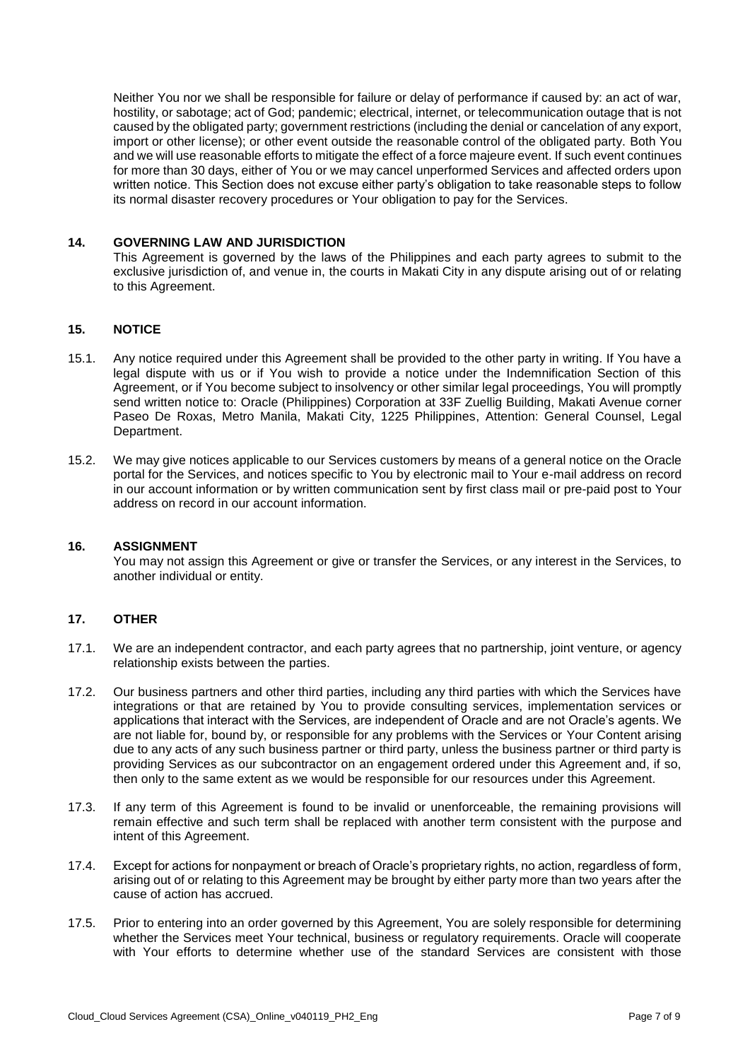Neither You nor we shall be responsible for failure or delay of performance if caused by: an act of war, hostility, or sabotage; act of God; pandemic; electrical, internet, or telecommunication outage that is not caused by the obligated party; government restrictions (including the denial or cancelation of any export, import or other license); or other event outside the reasonable control of the obligated party. Both You and we will use reasonable efforts to mitigate the effect of a force majeure event. If such event continues for more than 30 days, either of You or we may cancel unperformed Services and affected orders upon written notice. This Section does not excuse either party's obligation to take reasonable steps to follow its normal disaster recovery procedures or Your obligation to pay for the Services.

#### **14. GOVERNING LAW AND JURISDICTION**

This Agreement is governed by the laws of the Philippines and each party agrees to submit to the exclusive jurisdiction of, and venue in, the courts in Makati City in any dispute arising out of or relating to this Agreement.

## **15. NOTICE**

- 15.1. Any notice required under this Agreement shall be provided to the other party in writing. If You have a legal dispute with us or if You wish to provide a notice under the Indemnification Section of this Agreement, or if You become subject to insolvency or other similar legal proceedings, You will promptly send written notice to: Oracle (Philippines) Corporation at 33F Zuellig Building, Makati Avenue corner Paseo De Roxas, Metro Manila, Makati City, 1225 Philippines, Attention: General Counsel, Legal Department.
- 15.2. We may give notices applicable to our Services customers by means of a general notice on the Oracle portal for the Services, and notices specific to You by electronic mail to Your e-mail address on record in our account information or by written communication sent by first class mail or pre-paid post to Your address on record in our account information.

#### **16. ASSIGNMENT**

You may not assign this Agreement or give or transfer the Services, or any interest in the Services, to another individual or entity.

### **17. OTHER**

- 17.1. We are an independent contractor, and each party agrees that no partnership, joint venture, or agency relationship exists between the parties.
- 17.2. Our business partners and other third parties, including any third parties with which the Services have integrations or that are retained by You to provide consulting services, implementation services or applications that interact with the Services, are independent of Oracle and are not Oracle's agents. We are not liable for, bound by, or responsible for any problems with the Services or Your Content arising due to any acts of any such business partner or third party, unless the business partner or third party is providing Services as our subcontractor on an engagement ordered under this Agreement and, if so, then only to the same extent as we would be responsible for our resources under this Agreement.
- 17.3. If any term of this Agreement is found to be invalid or unenforceable, the remaining provisions will remain effective and such term shall be replaced with another term consistent with the purpose and intent of this Agreement.
- 17.4. Except for actions for nonpayment or breach of Oracle's proprietary rights, no action, regardless of form, arising out of or relating to this Agreement may be brought by either party more than two years after the cause of action has accrued.
- 17.5. Prior to entering into an order governed by this Agreement, You are solely responsible for determining whether the Services meet Your technical, business or regulatory requirements. Oracle will cooperate with Your efforts to determine whether use of the standard Services are consistent with those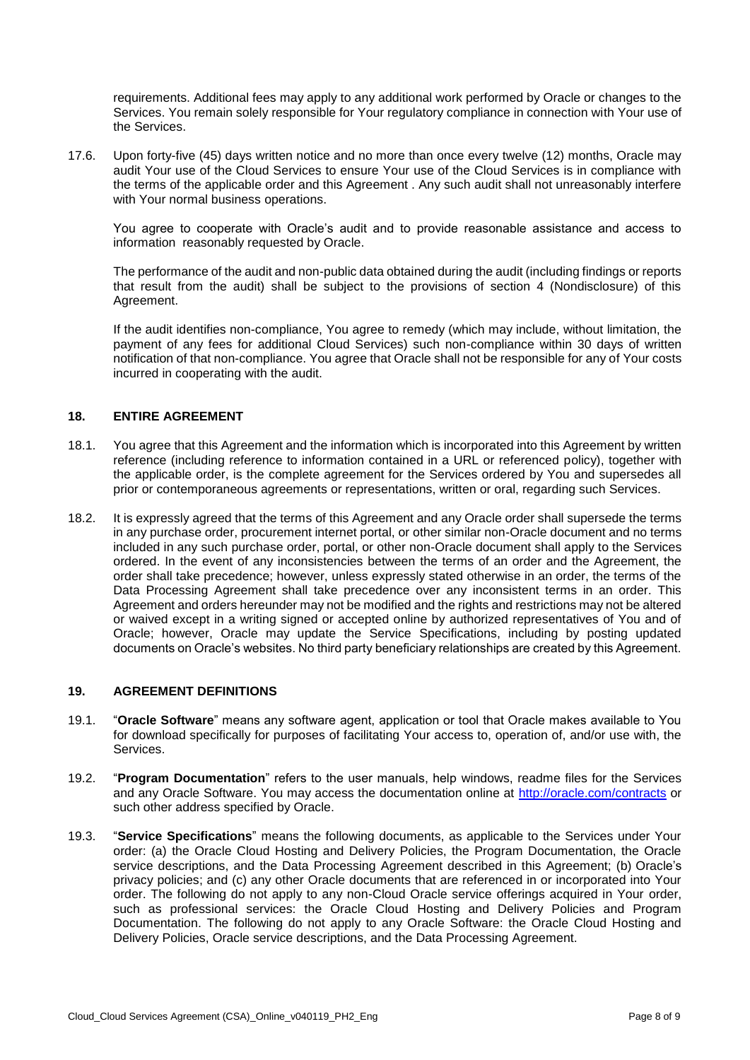requirements. Additional fees may apply to any additional work performed by Oracle or changes to the Services. You remain solely responsible for Your regulatory compliance in connection with Your use of the Services.

17.6. Upon forty-five (45) days written notice and no more than once every twelve (12) months, Oracle may audit Your use of the Cloud Services to ensure Your use of the Cloud Services is in compliance with the terms of the applicable order and this Agreement . Any such audit shall not unreasonably interfere with Your normal business operations.

You agree to cooperate with Oracle's audit and to provide reasonable assistance and access to information reasonably requested by Oracle.

The performance of the audit and non-public data obtained during the audit (including findings or reports that result from the audit) shall be subject to the provisions of section 4 (Nondisclosure) of this Agreement.

If the audit identifies non-compliance, You agree to remedy (which may include, without limitation, the payment of any fees for additional Cloud Services) such non-compliance within 30 days of written notification of that non-compliance. You agree that Oracle shall not be responsible for any of Your costs incurred in cooperating with the audit.

### **18. ENTIRE AGREEMENT**

- 18.1. You agree that this Agreement and the information which is incorporated into this Agreement by written reference (including reference to information contained in a URL or referenced policy), together with the applicable order, is the complete agreement for the Services ordered by You and supersedes all prior or contemporaneous agreements or representations, written or oral, regarding such Services.
- 18.2. It is expressly agreed that the terms of this Agreement and any Oracle order shall supersede the terms in any purchase order, procurement internet portal, or other similar non-Oracle document and no terms included in any such purchase order, portal, or other non-Oracle document shall apply to the Services ordered. In the event of any inconsistencies between the terms of an order and the Agreement, the order shall take precedence; however, unless expressly stated otherwise in an order, the terms of the Data Processing Agreement shall take precedence over any inconsistent terms in an order. This Agreement and orders hereunder may not be modified and the rights and restrictions may not be altered or waived except in a writing signed or accepted online by authorized representatives of You and of Oracle; however, Oracle may update the Service Specifications, including by posting updated documents on Oracle's websites. No third party beneficiary relationships are created by this Agreement.

#### **19. AGREEMENT DEFINITIONS**

- 19.1. "**Oracle Software**" means any software agent, application or tool that Oracle makes available to You for download specifically for purposes of facilitating Your access to, operation of, and/or use with, the Services.
- 19.2. "**Program Documentation**" refers to the user manuals, help windows, readme files for the Services and any Oracle Software. You may access the documentation online at<http://oracle.com/contracts> or such other address specified by Oracle.
- 19.3. "**Service Specifications**" means the following documents, as applicable to the Services under Your order: (a) the Oracle Cloud Hosting and Delivery Policies, the Program Documentation, the Oracle service descriptions, and the Data Processing Agreement described in this Agreement; (b) Oracle's privacy policies; and (c) any other Oracle documents that are referenced in or incorporated into Your order. The following do not apply to any non-Cloud Oracle service offerings acquired in Your order, such as professional services: the Oracle Cloud Hosting and Delivery Policies and Program Documentation. The following do not apply to any Oracle Software: the Oracle Cloud Hosting and Delivery Policies, Oracle service descriptions, and the Data Processing Agreement.